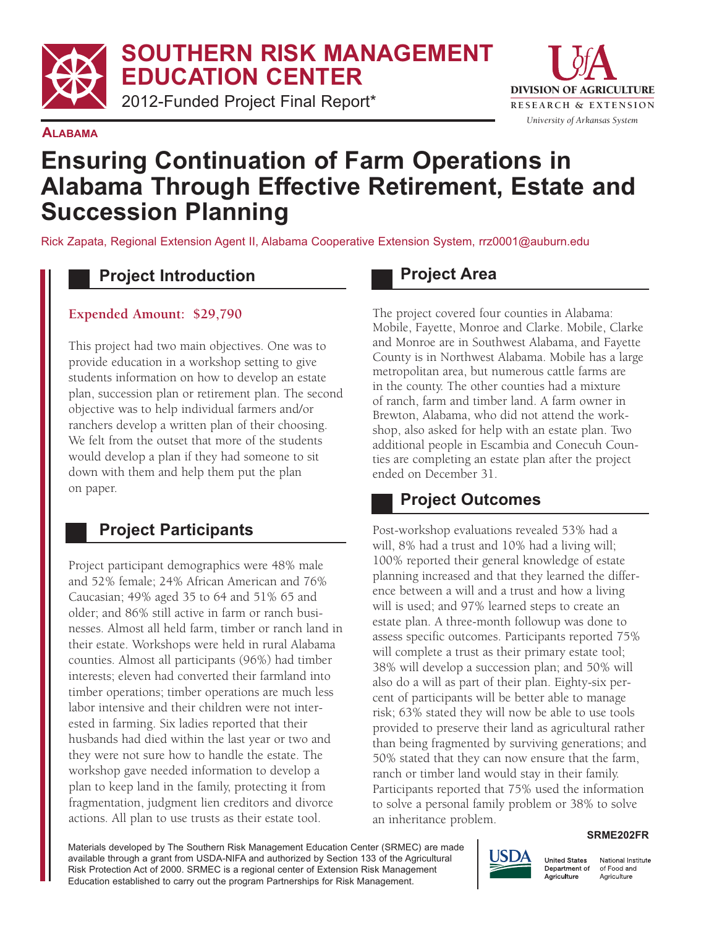**SOUTHERN RISK MANAGEMENT EDUCATION CENTER**

2012-Funded Project Final Report\*



#### **ALABAMA**

# **Ensuring Continuation of Farm Operations in Alabama Through Effective Retirement, Estate and Succession Planning**

Rick Zapata, Regional Extension Agent II, Alabama Cooperative Extension System, rrz0001@auburn.edu

# **Project Introduction**

#### **Expended Amount: \$29,790**

 This project had two main objectives. One was to provide education in a workshop setting to give students information on how to develop an estate plan, succession plan or retirement plan. The second objective was to help individual farmers and/or ranchers develop a written plan of their choosing. We felt from the outset that more of the students would develop a plan if they had someone to sit down with them and help them put the plan on paper.

# **Project Participants**

 Project participant demographics were 48% male and 52% female; 24% African American and 76% Caucasian; 49% aged 35 to 64 and 51% 65 and older; and 86% still active in farm or ranch busi- nesses. Almost all held farm, timber or ranch land in their estate. Workshops were held in rural Alabama counties. Almost all participants (96%) had timber interests; eleven had converted their farmland into timber operations; timber operations are much less labor intensive and their children were not inter- husbands had died within the last year or two and they were not sure how to handle the estate. The workshop gave needed information to develop a plan to keep land in the family, protecting it from fragmentation, judgment lien creditors and divorce actions. All plan to use trusts as their estate tool. ested in farming. Six ladies reported that their

#### **Project Area**

 The project covered four counties in Alabama: Mobile, Fayette, Monroe and Clarke. Mobile, Clarke and Monroe are in Southwest Alabama, and Fayette County is in Northwest Alabama. Mobile has a large metropolitan area, but numerous cattle farms are in the county. The other counties had a mixture of ranch, farm and timber land. A farm owner in Brewton, Alabama, who did not attend the work- shop, also asked for help with an estate plan. Two additional people in Escambia and Conecuh Coun- ties are completing an estate plan after the project ended on December 31.

# **Project Outcomes**

Post-workshop evaluations revealed 53% had a will, 8% had a trust and 10% had a living will; 100% reported their general knowledge of estate planning increased and that they learned the differ- ence between a will and a trust and how a living will is used; and 97% learned steps to create an estate plan. A three-month followup was done to assess specific outcomes. Participants reported 75% will complete a trust as their primary estate tool; 38% will develop a succession plan; and 50% will also do a will as part of their plan. Eighty-six per- cent of participants will be better able to manage risk; 63% stated they will now be able to use tools provided to preserve their land as agricultural rather than being fragmented by surviving generations; and 50% stated that they can now ensure that the farm, ranch or timber land would stay in their family. Participants reported that 75% used the information to solve a personal family problem or 38% to solve an inheritance problem.

**SRME202FR**

 Materials developed by The Southern Risk Management Education Center (SRMEC) are made available through a grant from USDA-NIFA and authorized by Section 133 of the Agricultural Risk Protection Act of 2000. SRMEC is a regional center of Extension Risk Management Education established to carry out the program Partnerships for Risk Management.



National Institute of Food and Agriculture